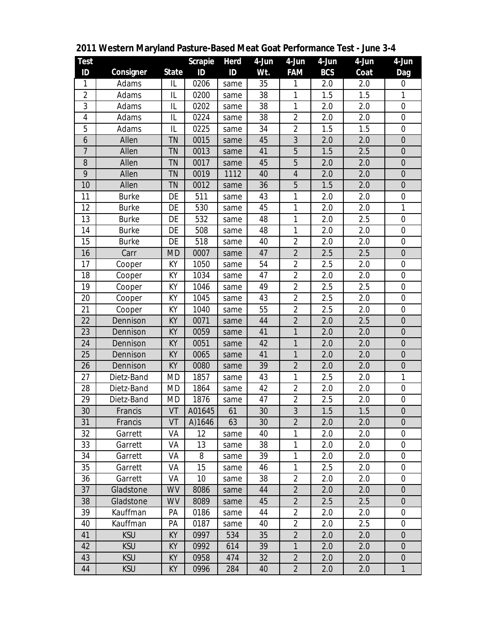| Test             |              |           | Scrapie | Herd | 4-Jun | 4-Jun                   | 4-Jun      | 4-Jun | 4-Jun            |
|------------------|--------------|-----------|---------|------|-------|-------------------------|------------|-------|------------------|
| ID               | Consigner    | State     | ID      | ID   | Wt.   | <b>FAM</b>              | <b>BCS</b> | Coat  | Dag              |
| 1                | Adams        | IL        | 0206    | same | 35    | 1                       | 2.0        | 2.0   | 0                |
| $\overline{2}$   | Adams        | IL        | 0200    | same | 38    | 1                       | 1.5        | 1.5   | 1                |
| 3                | Adams        | IL        | 0202    | same | 38    | 1                       | 2.0        | 2.0   | $\overline{0}$   |
| 4                | Adams        | IL        | 0224    | same | 38    | 2                       | 2.0        | 2.0   | $\boldsymbol{0}$ |
| 5                | Adams        | IL        | 0225    | same | 34    | $\overline{2}$          | 1.5        | 1.5   | 0                |
| $\boldsymbol{6}$ | Allen        | TN        | 0015    | same | 45    | $\mathfrak{Z}$          | 2.0        | 2.0   | $\boldsymbol{0}$ |
| $\overline{7}$   | Allen        | <b>TN</b> | 0013    | same | 41    | 5                       | 1.5        | 2.5   | $\boldsymbol{0}$ |
| 8                | Allen        | ΤN        | 0017    | same | 45    | 5                       | 2.0        | 2.0   | $\boldsymbol{0}$ |
| $\boldsymbol{9}$ | Allen        | <b>TN</b> | 0019    | 1112 | 40    | $\overline{4}$          | 2.0        | 2.0   | $\boldsymbol{0}$ |
| 10               | Allen        | <b>TN</b> | 0012    | same | 36    | 5                       | 1.5        | 2.0   | $\mathbf 0$      |
| 11               | <b>Burke</b> | DE        | 511     | same | 43    | 1                       | 2.0        | 2.0   | 0                |
| 12               | <b>Burke</b> | DE        | 530     | same | 45    | 1                       | 2.0        | 2.0   | 1                |
| 13               | <b>Burke</b> | DE        | 532     | same | 48    | 1                       | 2.0        | 2.5   | $\mathbf 0$      |
| 14               | <b>Burke</b> | DE        | 508     | same | 48    | 1                       | 2.0        | 2.0   | $\boldsymbol{0}$ |
| 15               | <b>Burke</b> | DE        | 518     | same | 40    | $\overline{2}$          | 2.0        | 2.0   | 0                |
| 16               | Carr         | <b>MD</b> | 0007    | same | 47    | $\overline{2}$          | 2.5        | 2.5   | $\overline{0}$   |
| 17               | Cooper       | КY        | 1050    | same | 54    | $\overline{2}$          | 2.5        | 2.0   | $\boldsymbol{0}$ |
| 18               | Cooper       | КY        | 1034    | same | 47    | $\overline{2}$          | 2.0        | 2.0   | 0                |
| 19               | Cooper       | KY        | 1046    | same | 49    | $\overline{2}$          | 2.5        | 2.5   | $\mathbf 0$      |
| 20               | Cooper       | KY        | 1045    | same | 43    | $\overline{a}$          | 2.5        | 2.0   | $\boldsymbol{0}$ |
| 21               | Cooper       | КY        | 1040    | same | 55    | $\overline{2}$          | 2.5        | 2.0   | 0                |
| 22               | Dennison     | KY        | 0071    | same | 44    | $\overline{2}$          | 2.0        | 2.5   | $\overline{0}$   |
| 23               | Dennison     | KY        | 0059    | same | 41    | $\mathbf{1}$            | 2.0        | 2.0   | $\boldsymbol{0}$ |
| 24               | Dennison     | KY        | 0051    | same | 42    | 1                       | 2.0        | 2.0   | $\boldsymbol{0}$ |
| 25               | Dennison     | KY        | 0065    | same | 41    | 1                       | 2.0        | 2.0   | $\boldsymbol{0}$ |
| 26               | Dennison     | KY        | 0080    | same | 39    | $\overline{a}$          | 2.0        | 2.0   | $\boldsymbol{0}$ |
| 27               | Dietz-Band   | <b>MD</b> | 1857    | same | 43    | 1                       | 2.5        | 2.0   | 1                |
| 28               | Dietz-Band   | <b>MD</b> | 1864    | same | 42    | $\overline{2}$          | 2.0        | 2.0   | $\overline{0}$   |
| 29               | Dietz-Band   | <b>MD</b> | 1876    | same | 47    | $\overline{\mathbf{c}}$ | 2.5        | 2.0   | $\boldsymbol{0}$ |
| 30               | Francis      | VT        | A01645  | 61   | 30    | 3                       | 1.5        | 1.5   | $\boldsymbol{0}$ |
| 31               | Francis      | VT        | A) 1646 | 63   | 30    | $\overline{2}$          | 2.0        | 2.0   | $\boldsymbol{0}$ |
| 32               | Garrett      | VA        | 12      | same | 40    | 1                       | 2.0        | 2.0   | 0                |
| 33               | Garrett      | VA        | 13      | same | 38    | 1                       | 2.0        | 2.0   | 0                |
| 34               | Garrett      | VA        | 8       | same | 39    | $\mathbf{1}$            | 2.0        | 2.0   | 0                |
| 35               | Garrett      | VA        | 15      | same | 46    | 1                       | 2.5        | 2.0   | 0                |
| 36               | Garrett      | VA        | 10      | same | 38    | $\overline{2}$          | 2.0        | 2.0   | 0                |
| 37               | Gladstone    | <b>WV</b> | 8086    | same | 44    | $\overline{2}$          | 2.0        | 2.0   | $\mathbf 0$      |
| 38               | Gladstone    | <b>WV</b> | 8089    | same | 45    | $\overline{a}$          | 2.5        | 2.5   | $\overline{0}$   |
| 39               | Kauffman     | PA        | 0186    | same | 44    | 2                       | 2.0        | 2.0   | 0                |
| 40               | Kauffman     | PA        | 0187    | same | 40    | $\overline{2}$          | 2.0        | 2.5   | 0                |
| 41               | <b>KSU</b>   | KY        | 0997    | 534  | 35    | $\overline{2}$          | 2.0        | 2.0   | $\mathbf 0$      |
| 42               | <b>KSU</b>   | KY        | 0992    | 614  | 39    | $\mathbf{1}$            | 2.0        | 2.0   | $\mathbf 0$      |
| 43               | <b>KSU</b>   | KY        | 0958    | 474  | 32    | $\overline{a}$          | 2.0        | 2.0   | $\boldsymbol{0}$ |
| 44               | <b>KSU</b>   | KY        | 0996    | 284  | 40    | $\overline{2}$          | 2.0        | 2.0   | $\mathbf{1}$     |

**Western Maryland Pasture-Based Meat Goat Performance Test - June 3-4**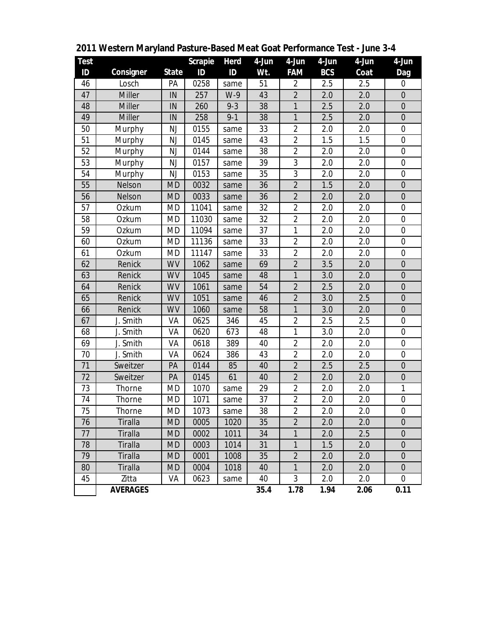| Test            |                 |           | Scrapie | Herd    | 4-Jun | 4-Jun          | 4-Jun      | 4-Jun | 4-Jun            |
|-----------------|-----------------|-----------|---------|---------|-------|----------------|------------|-------|------------------|
| ID              | Consigner       | State     | ID      | ID      | Wt.   | <b>FAM</b>     | <b>BCS</b> | Coat  | Dag              |
| 46              | Losch           | PA        | 0258    | same    | 51    | $\overline{2}$ | 2.5        | 2.5   | 0                |
| 47              | Miller          | IN        | 257     | $W-9$   | 43    | $\overline{2}$ | 2.0        | 2.0   | $\overline{0}$   |
| 48              | <b>Miller</b>   | IN        | 260     | $9 - 3$ | 38    | 1              | 2.5        | 2.0   | $\mathbf 0$      |
| 49              | Miller          | IN        | 258     | $9 - 1$ | 38    | 1              | 2.5        | 2.0   | $\overline{0}$   |
| 50              | Murphy          | NJ        | 0155    | same    | 33    | $\overline{2}$ | 2.0        | 2.0   | $\boldsymbol{0}$ |
| 51              | Murphy          | NJ        | 0145    | same    | 43    | $\overline{2}$ | 1.5        | 1.5   | $\boldsymbol{0}$ |
| 52              | Murphy          | NJ        | 0144    | same    | 38    | $\overline{2}$ | 2.0        | 2.0   | $\mathbf 0$      |
| 53              | Murphy          | NJ        | 0157    | same    | 39    | $\sqrt{3}$     | 2.0        | 2.0   | $\boldsymbol{0}$ |
| 54              | Murphy          | NJ        | 0153    | same    | 35    | $\sqrt{3}$     | 2.0        | 2.0   | 0                |
| 55              | Nelson          | <b>MD</b> | 0032    | same    | 36    | $\overline{2}$ | 1.5        | 2.0   | $\overline{0}$   |
| 56              | Nelson          | <b>MD</b> | 0033    | same    | 36    | $\sqrt{2}$     | 2.0        | 2.0   | $\mathbf 0$      |
| 57              | Ozkum           | MD        | 11041   | same    | 32    | $\overline{2}$ | 2.0        | 2.0   | 0                |
| 58              | Ozkum           | <b>MD</b> | 11030   | same    | 32    | $\overline{2}$ | 2.0        | 2.0   | $\mathbf 0$      |
| 59              | Ozkum           | MD        | 11094   | same    | 37    | $\mathbf{1}$   | 2.0        | 2.0   | $\boldsymbol{0}$ |
| 60              | Ozkum           | MD        | 11136   | same    | 33    | $\overline{2}$ | 2.0        | 2.0   | $\boldsymbol{0}$ |
| 61              | Ozkum           | MD        | 11147   | same    | 33    | $\overline{2}$ | 2.0        | 2.0   | $\boldsymbol{0}$ |
| 62              | Renick          | WV        | 1062    | same    | 69    | $\overline{2}$ | 3.5        | 2.0   | $\mathbf 0$      |
| 63              | Renick          | <b>WV</b> | 1045    | same    | 48    | $\mathbf{1}$   | 3.0        | 2.0   | $\boldsymbol{0}$ |
| 64              | Renick          | <b>WV</b> | 1061    | same    | 54    | $\overline{2}$ | 2.5        | 2.0   | $\mathbf 0$      |
| 65              | Renick          | <b>WV</b> | 1051    | same    | 46    | $\overline{2}$ | 3.0        | 2.5   | $\mathbf 0$      |
| 66              | Renick          | WV        | 1060    | same    | 58    | $\mathbf{1}$   | 3.0        | 2.0   | $\mathbf 0$      |
| 67              | J. Smith        | VA        | 0625    | 346     | 45    | $\overline{2}$ | 2.5        | 2.5   | 0                |
| 68              | J. Smith        | VA        | 0620    | 673     | 48    | 1              | 3.0        | 2.0   | $\mathbf 0$      |
| 69              | J. Smith        | VA        | 0618    | 389     | 40    | $\overline{2}$ | 2.0        | 2.0   | $\boldsymbol{0}$ |
| 70              | J. Smith        | VA        | 0624    | 386     | 43    | $\overline{2}$ | 2.0        | 2.0   | $\boldsymbol{0}$ |
| $\overline{71}$ | Sweitzer        | PA        | 0144    | 85      | 40    | $\overline{2}$ | 2.5        | 2.5   | $\overline{0}$   |
| 72              | Sweitzer        | PA        | 0145    | 61      | 40    | $\overline{2}$ | 2.0        | 2.0   | $\mathbf 0$      |
| 73              | Thorne          | MD        | 1070    | same    | 29    | $\overline{2}$ | 2.0        | 2.0   | $\mathbf{1}$     |
| 74              | Thorne          | <b>MD</b> | 1071    | same    | 37    | $\overline{2}$ | 2.0        | 2.0   | $\mathbf 0$      |
| 75              | Thorne          | MD        | 1073    | same    | 38    | $\overline{2}$ | 2.0        | 2.0   | $\boldsymbol{0}$ |
| 76              | Tiralla         | MD        | 0005    | 1020    | 35    | $\overline{2}$ | 2.0        | 2.0   | 0                |
| 77              | Tiralla         | <b>MD</b> | 0002    | 1011    | 34    | 1              | 2.0        | 2.5   | $\overline{0}$   |
| 78              | Tiralla         | <b>MD</b> | 0003    | 1014    | 31    | $\mathbf{1}$   | 1.5        | 2.0   | $\boldsymbol{0}$ |
| 79              | Tiralla         | <b>MD</b> | 0001    | 1008    | 35    | $\overline{2}$ | 2.0        | 2.0   | $\boldsymbol{0}$ |
| 80              | Tiralla         | <b>MD</b> | 0004    | 1018    | 40    | 1              | 2.0        | 2.0   | $\overline{0}$   |
| 45              | Zitta           | VA        | 0623    | same    | 40    | 3              | 2.0        | 2.0   | 0                |
|                 | <b>AVERAGES</b> |           |         |         | 35.4  | 1.78           | 1.94       | 2.06  | 0.11             |

**Western Maryland Pasture-Based Meat Goat Performance Test - June 3-4**